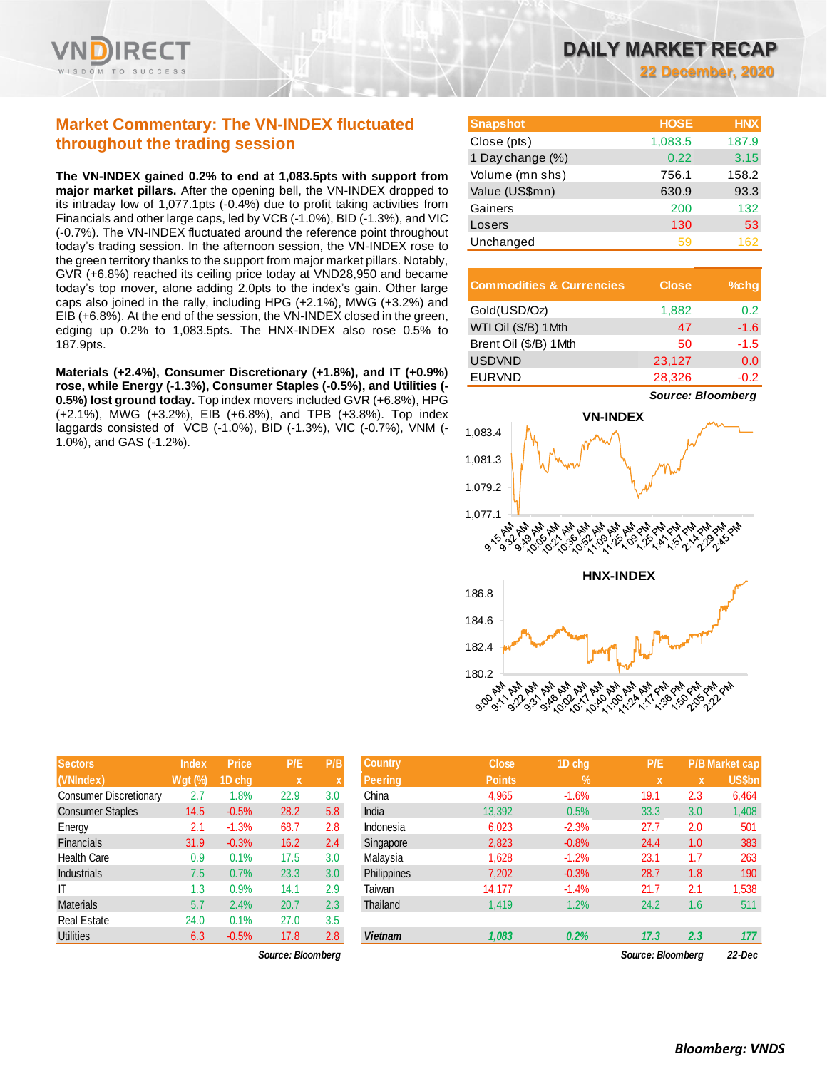

## **Market Commentary: The VN-INDEX fluctuated throughout the trading session**

**The VN-INDEX gained 0.2% to end at 1,083.5pts with support from major market pillars.** After the opening bell, the VN-INDEX dropped to its intraday low of 1,077.1pts (-0.4%) due to profit taking activities from Financials and other large caps, led by VCB (-1.0%), BID (-1.3%), and VIC (-0.7%). The VN-INDEX fluctuated around the reference point throughout today's trading session. In the afternoon session, the VN-INDEX rose to the green territory thanks to the support from major market pillars. Notably, GVR (+6.8%) reached its ceiling price today at VND28,950 and became today's top mover, alone adding 2.0pts to the index's gain. Other large caps also joined in the rally, including HPG (+2.1%), MWG (+3.2%) and EIB (+6.8%). At the end of the session, the VN-INDEX closed in the green, edging up 0.2% to 1,083.5pts. The HNX-INDEX also rose 0.5% to 187.9pts.

**Materials (+2.4%), Consumer Discretionary (+1.8%), and IT (+0.9%) rose, while Energy (-1.3%), Consumer Staples (-0.5%), and Utilities (- 0.5%) lost ground today.** Top index movers included GVR (+6.8%), HPG (+2.1%), MWG (+3.2%), EIB (+6.8%), and TPB (+3.8%). Top index laggards consisted of VCB (-1.0%), BID (-1.3%), VIC (-0.7%), VNM (- 1.0%), and GAS (-1.2%).

| <b>Snapshot</b>  | <b>HOSE</b> | <b>HNX</b> |
|------------------|-------------|------------|
| Close (pts)      | 1,083.5     | 187.9      |
| 1 Day change (%) | 0.22        | 3.15       |
| Volume (mn shs)  | 756.1       | 158.2      |
| Value (US\$mn)   | 630.9       | 93.3       |
| Gainers          | 200         | 132        |
| Losers           | 130         | 53         |
| Unchanged        | 59          | 162        |

| <b>Commodities &amp; Currencies</b> | <b>Close</b> | $%$ chg |
|-------------------------------------|--------------|---------|
| Gold(USD/Oz)                        | 1,882        | 0.2     |
| WTI Oil (\$/B) 1Mth                 | 47           | $-1.6$  |
| Brent Oil (\$/B) 1Mth               | 50           | $-1.5$  |
| <b>USDVND</b>                       | 23,127       | 0.0     |
| <b>EURVND</b>                       | 28,326       | $-0.2$  |

*Source: Bloomberg*



| <b>Sectors</b>                | <b>Index</b> | <b>Price</b> | P/E  | P/B |
|-------------------------------|--------------|--------------|------|-----|
| (VNIndex)                     | Wgt (%)      | 1D chq       | x    | X   |
| <b>Consumer Discretionary</b> | 2.7          | 1.8%         | 22.9 | 3.0 |
| <b>Consumer Staples</b>       | 14.5         | $-0.5%$      | 28.2 | 5.8 |
| Energy                        | 2.1          | $-1.3%$      | 68.7 | 2.8 |
| <b>Financials</b>             | 31.9         | $-0.3%$      | 16.2 | 2.4 |
| <b>Health Care</b>            | 0.9          | 0.1%         | 17.5 | 3.0 |
| <b>Industrials</b>            | 7.5          | 0.7%         | 23.3 | 3.0 |
| ΙT                            | 1.3          | 0.9%         | 14.1 | 2.9 |
| <b>Materials</b>              | 5.7          | 2.4%         | 20.7 | 2.3 |
| <b>Real Estate</b>            | 24.0         | 0.1%         | 27.0 | 3.5 |
| <b>Utilities</b>              | 6.3          | $-0.5%$      | 17.8 | 2.8 |

**Sectors Index Price P/E P/B Country Close 1D chg P/E P/B Market cap (VNIndex) Wgt (%) 1D chg x x Peering Points % x x US\$bn** Consumer Discretionary 2.7 1.8% 22.9 3.0 China 4,965 -1.6% 19.1 2.3 6,464 Consumer Staples 14.5 -0.5% 28.2 5.8 India 13,392 0.5% 33.3 3.0 1,408 Energy 2.1 -1.3% 68.7 2.8 Indonesia 6,023 -2.3% 27.7 2.0 501 Financials 31.9 -0.3% 16.2 2.4 Singapore 2,823 -0.8% 24.4 1.0 383 Health Care 0.9 0.1% 17.5 3.0 Malaysia 1,628 -1.2% 23.1 1.7 263 Industrials 7.5 0.7% 23.3 3.0 Philippines 7,202 -0.3% 28.7 1.8 190 IT 1.3 0.9% 14.1 2.9 Taiwan 14,177 -1.4% 21.7 2.1 1,538 Materials 5.7 2.4% 20.7 2.3 Thailand 1,419 1.2% 24.2 1.6 511 Utilities 6.3 -0.5% 17.8 2.8 *Vietnam 1,083 0.2% 17.3 2.3 177*

*Source: Bloomberg Source: Bloomberg 22-Dec*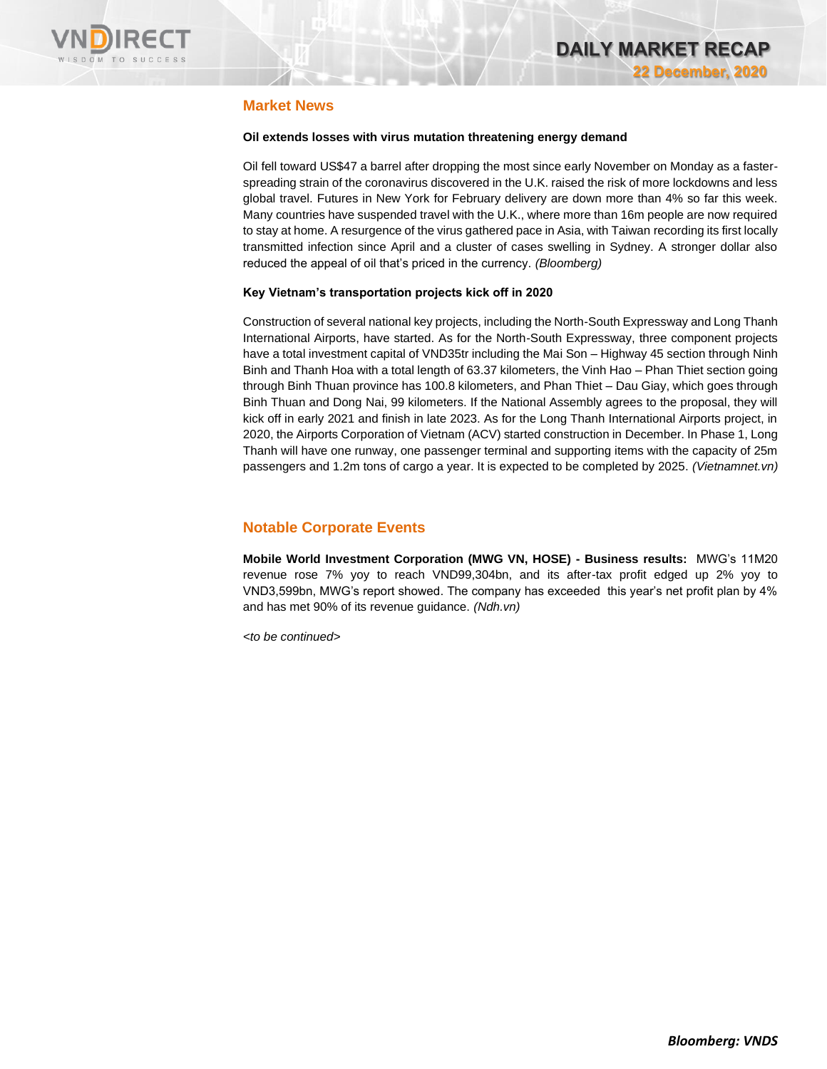

## **Market News**

### **Oil extends losses with virus mutation threatening energy demand**

Oil fell toward US\$47 a barrel after dropping the most since early November on Monday as a fasterspreading strain of the coronavirus discovered in the U.K. raised the risk of more lockdowns and less global travel. Futures in New York for February delivery are down more than 4% so far this week. Many countries have suspended travel with the U.K., where more than 16m people are now required to stay at home. A resurgence of the virus gathered pace in Asia, with Taiwan recording its first locally transmitted infection since April and a cluster of cases swelling in Sydney. A stronger dollar also reduced the appeal of oil that's priced in the currency. *(Bloomberg)*

#### **Key Vietnam's transportation projects kick off in 2020**

Construction of several national key projects, including the North-South Expressway and Long Thanh International Airports, have started. As for the North-South Expressway, three component projects have a total investment capital of VND35tr including the Mai Son – Highway 45 section through Ninh Binh and Thanh Hoa with a total length of 63.37 kilometers, the Vinh Hao – Phan Thiet section going through Binh Thuan province has 100.8 kilometers, and Phan Thiet – Dau Giay, which goes through Binh Thuan and Dong Nai, 99 kilometers. If the National Assembly agrees to the proposal, they will kick off in early 2021 and finish in late 2023. As for the Long Thanh International Airports project, in 2020, the Airports Corporation of Vietnam (ACV) started construction in December. In Phase 1, Long Thanh will have one runway, one passenger terminal and supporting items with the capacity of 25m passengers and 1.2m tons of cargo a year. It is expected to be completed by 2025. *(Vietnamnet.vn)*

## **Notable Corporate Events**

**Mobile World Investment Corporation (MWG VN, HOSE) - Business results:** MWG's 11M20 revenue rose 7% yoy to reach VND99,304bn, and its after-tax profit edged up 2% yoy to VND3,599bn, MWG's report showed. The company has exceeded this year's net profit plan by 4% and has met 90% of its revenue guidance. *(Ndh.vn)*

*<to be continued>*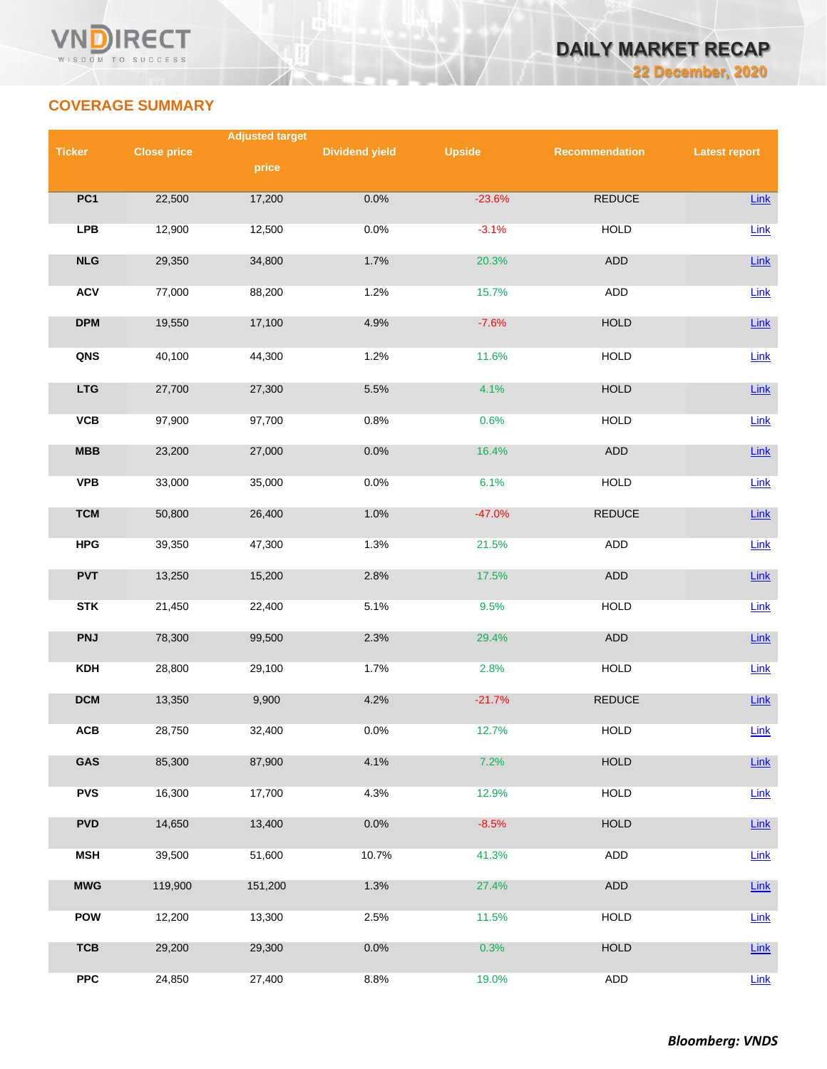

## **COVERAGE SUMMARY**

|               |                    | <b>Adjusted target</b> |                       |               |                |                      |  |  |
|---------------|--------------------|------------------------|-----------------------|---------------|----------------|----------------------|--|--|
| <b>Ticker</b> | <b>Close price</b> |                        | <b>Dividend yield</b> | <b>Upside</b> | Recommendation | <b>Latest report</b> |  |  |
|               |                    | price                  |                       |               |                |                      |  |  |
| PC1           | 22,500             | 17,200                 | 0.0%                  | $-23.6%$      | <b>REDUCE</b>  | Link                 |  |  |
|               |                    |                        |                       |               |                |                      |  |  |
| <b>LPB</b>    | 12,900             | 12,500                 | 0.0%                  | $-3.1%$       | <b>HOLD</b>    | Link                 |  |  |
|               |                    |                        |                       |               |                |                      |  |  |
| NLG           | 29,350             | 34,800                 | 1.7%                  | 20.3%         | ADD            | Link                 |  |  |
| <b>ACV</b>    | 77,000             | 88,200                 | 1.2%                  | 15.7%         | <b>ADD</b>     | Link                 |  |  |
|               |                    |                        |                       |               |                |                      |  |  |
| <b>DPM</b>    | 19,550             | 17,100                 | 4.9%                  | $-7.6%$       | <b>HOLD</b>    | Link                 |  |  |
| QNS           | 40,100             | 44,300                 | 1.2%                  | 11.6%         | <b>HOLD</b>    | Link                 |  |  |
|               |                    |                        |                       |               |                |                      |  |  |
| <b>LTG</b>    | 27,700             | 27,300                 | 5.5%                  | 4.1%          | HOLD           | Link                 |  |  |
| <b>VCB</b>    | 97,900             | 97,700                 | 0.8%                  | 0.6%          | <b>HOLD</b>    |                      |  |  |
|               |                    |                        |                       |               |                | Link                 |  |  |
| MBB           | 23,200             | 27,000                 | 0.0%                  | 16.4%         | ADD            | Link                 |  |  |
|               |                    |                        |                       |               |                |                      |  |  |
| <b>VPB</b>    | 33,000             | 35,000                 | 0.0%                  | 6.1%          | <b>HOLD</b>    | Link                 |  |  |
| <b>TCM</b>    | 50,800             | 26,400                 | 1.0%                  | $-47.0%$      | <b>REDUCE</b>  | Link                 |  |  |
|               |                    |                        |                       |               |                |                      |  |  |
| <b>HPG</b>    | 39,350             | 47,300                 | 1.3%                  | 21.5%         | ADD            | Link                 |  |  |
| <b>PVT</b>    | 13,250             | 15,200                 | 2.8%                  | 17.5%         | ADD            | Link                 |  |  |
|               |                    |                        |                       |               |                |                      |  |  |
| <b>STK</b>    | 21,450             | 22,400                 | 5.1%                  | 9.5%          | <b>HOLD</b>    | Link                 |  |  |
| <b>PNJ</b>    | 78,300             | 99,500                 | 2.3%                  | 29.4%         | ADD            | Link                 |  |  |
|               |                    |                        |                       |               |                |                      |  |  |
| <b>KDH</b>    | 28,800             | 29,100                 | 1.7%                  | 2.8%          | <b>HOLD</b>    | Link                 |  |  |
| <b>DCM</b>    | 13,350             | 9,900                  | 4.2%                  | $-21.7%$      | <b>REDUCE</b>  | Link                 |  |  |
|               |                    |                        |                       |               |                |                      |  |  |
| <b>ACB</b>    | 28,750             | 32,400                 | 0.0%                  | 12.7%         | <b>HOLD</b>    | Link                 |  |  |
| GAS           | 85,300             | 87,900                 | 4.1%                  | 7.2%          | <b>HOLD</b>    | <b>Link</b>          |  |  |
|               |                    |                        |                       |               |                |                      |  |  |
| <b>PVS</b>    | 16,300             | 17,700                 | 4.3%                  | 12.9%         | <b>HOLD</b>    | Link                 |  |  |
|               |                    |                        |                       |               |                |                      |  |  |
| <b>PVD</b>    | 14,650             | 13,400                 | 0.0%                  | $-8.5%$       | <b>HOLD</b>    | <b>Link</b>          |  |  |
| <b>MSH</b>    | 39,500             | 51,600                 | 10.7%                 | 41.3%         | ADD            | Link                 |  |  |
|               |                    |                        |                       |               |                |                      |  |  |
| <b>MWG</b>    | 119,900            | 151,200                | 1.3%                  | 27.4%         | ADD            | Link                 |  |  |
| <b>POW</b>    | 12,200             | 13,300                 | 2.5%                  | 11.5%         | <b>HOLD</b>    | <b>Link</b>          |  |  |
|               |                    |                        |                       |               |                |                      |  |  |
| <b>TCB</b>    | 29,200             | 29,300                 | 0.0%                  | 0.3%          | <b>HOLD</b>    | <b>Link</b>          |  |  |
| <b>PPC</b>    | 24,850             | 27,400                 | 8.8%                  | 19.0%         | <b>ADD</b>     | Link                 |  |  |
|               |                    |                        |                       |               |                |                      |  |  |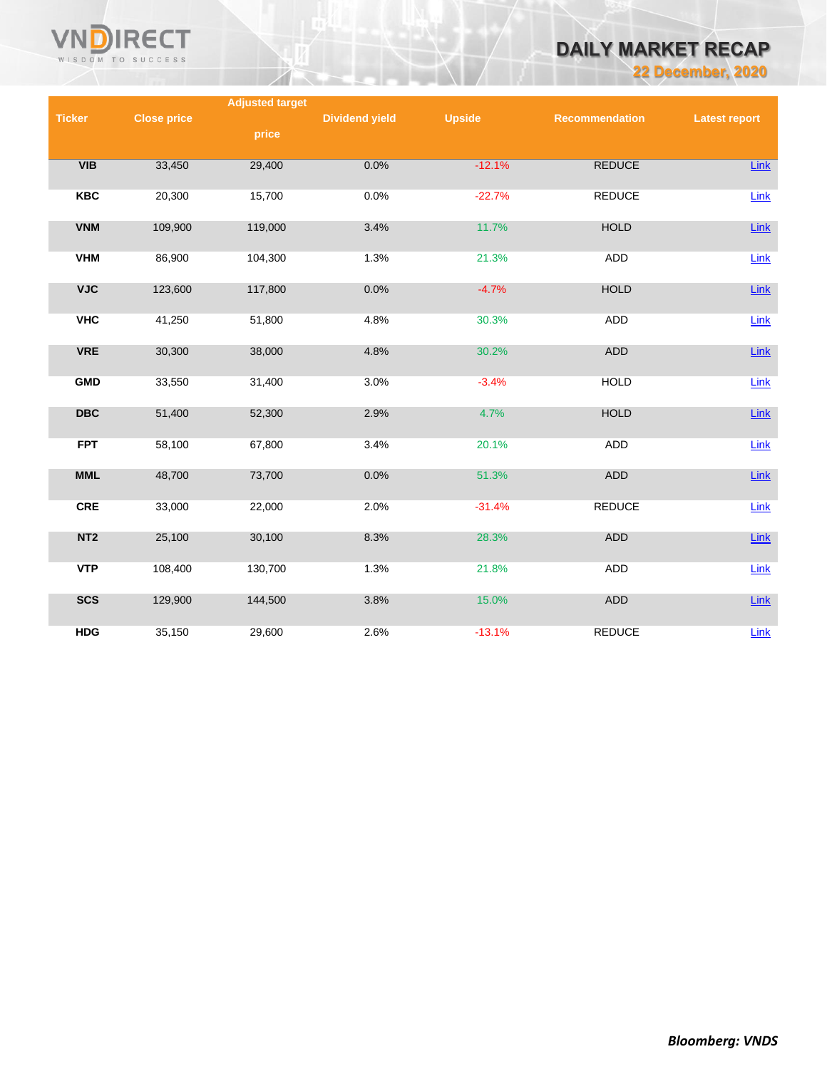

## **DAILY MARKET RECAP**

**22 December, 2020**

|                 |                    | <b>Adjusted target</b> |                       |               |                |                      |
|-----------------|--------------------|------------------------|-----------------------|---------------|----------------|----------------------|
| <b>Ticker</b>   | <b>Close price</b> |                        | <b>Dividend yield</b> | <b>Upside</b> | Recommendation | <b>Latest report</b> |
|                 |                    | price                  |                       |               |                |                      |
|                 |                    |                        |                       |               |                |                      |
| VIB             | 33,450             | 29,400                 | 0.0%                  | $-12.1%$      | <b>REDUCE</b>  | Link                 |
| <b>KBC</b>      | 20,300             | 15,700                 | 0.0%                  | $-22.7%$      | <b>REDUCE</b>  | Link                 |
|                 |                    |                        |                       |               |                |                      |
| <b>VNM</b>      | 109,900            | 119,000                | 3.4%                  | 11.7%         | <b>HOLD</b>    | $Link$               |
|                 |                    |                        |                       |               |                |                      |
| <b>VHM</b>      | 86,900             | 104,300                | 1.3%                  | 21.3%         | ADD            | Link                 |
|                 |                    |                        |                       |               |                |                      |
| <b>VJC</b>      | 123,600            | 117,800                | 0.0%                  | $-4.7%$       | <b>HOLD</b>    | Link                 |
|                 |                    |                        |                       |               |                |                      |
| <b>VHC</b>      | 41,250             | 51,800                 | 4.8%                  | 30.3%         | <b>ADD</b>     | Link                 |
| <b>VRE</b>      | 30,300             | 38,000                 | 4.8%                  | 30.2%         | ADD            | Link                 |
|                 |                    |                        |                       |               |                |                      |
| <b>GMD</b>      | 33,550             | 31,400                 | 3.0%                  | $-3.4%$       | <b>HOLD</b>    | Link                 |
|                 |                    |                        |                       |               |                |                      |
| <b>DBC</b>      | 51,400             | 52,300                 | 2.9%                  | 4.7%          | <b>HOLD</b>    | $Link$               |
|                 |                    |                        |                       |               |                |                      |
| <b>FPT</b>      | 58,100             | 67,800                 | 3.4%                  | 20.1%         | <b>ADD</b>     | Link                 |
|                 |                    |                        |                       |               |                |                      |
| <b>MML</b>      | 48,700             | 73,700                 | 0.0%                  | 51.3%         | ADD            | Link                 |
| <b>CRE</b>      | 33,000             | 22,000                 | 2.0%                  | $-31.4%$      | <b>REDUCE</b>  | Link                 |
|                 |                    |                        |                       |               |                |                      |
| NT <sub>2</sub> | 25,100             | 30,100                 | 8.3%                  | 28.3%         | <b>ADD</b>     | Link                 |
|                 |                    |                        |                       |               |                |                      |
| <b>VTP</b>      | 108,400            | 130,700                | 1.3%                  | 21.8%         | ADD            | Link                 |
|                 |                    |                        |                       |               |                |                      |
| <b>SCS</b>      | 129,900            | 144,500                | 3.8%                  | 15.0%         | <b>ADD</b>     | Link                 |
|                 |                    |                        |                       |               |                |                      |
| <b>HDG</b>      | 35,150             | 29,600                 | 2.6%                  | $-13.1%$      | <b>REDUCE</b>  | Link                 |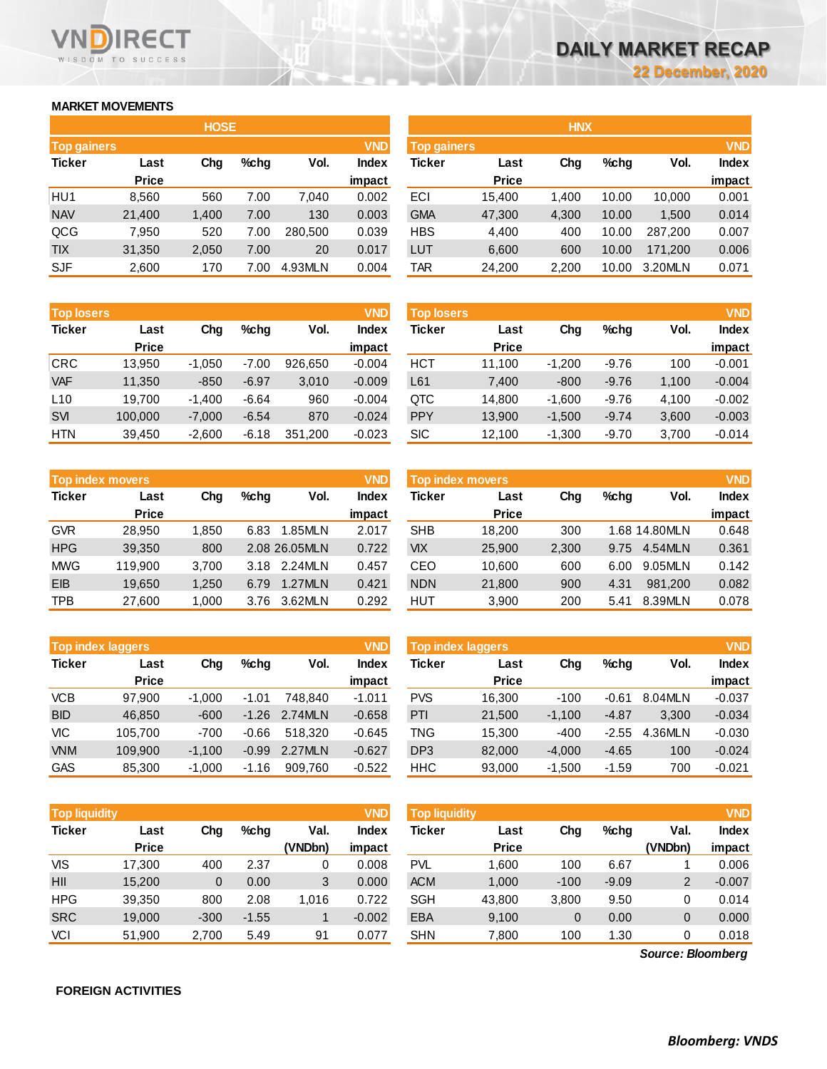### **MARKET MOVEMENTS**

WISDOM TO SUCCESS

**RECT** 

|                                  | <b>HOSE</b>  |       |      |         |              |  |  |  |  |  |  |  |  |
|----------------------------------|--------------|-------|------|---------|--------------|--|--|--|--|--|--|--|--|
| <b>VND</b><br><b>Top gainers</b> |              |       |      |         |              |  |  |  |  |  |  |  |  |
| <b>Ticker</b>                    | Last         | Cha   | %chq | Vol.    | <b>Index</b> |  |  |  |  |  |  |  |  |
|                                  | <b>Price</b> |       |      |         | impact       |  |  |  |  |  |  |  |  |
| HU <sub>1</sub>                  | 8,560        | 560   | 7.00 | 7,040   | 0.002        |  |  |  |  |  |  |  |  |
| <b>NAV</b>                       | 21,400       | 1,400 | 7.00 | 130     | 0.003        |  |  |  |  |  |  |  |  |
| QCG                              | 7,950        | 520   | 7.00 | 280.500 | 0.039        |  |  |  |  |  |  |  |  |
| <b>TIX</b>                       | 31,350       | 2,050 | 7.00 | 20      | 0.017        |  |  |  |  |  |  |  |  |
| <b>SJF</b>                       | 2,600        | 170   | 7.00 | 4.93MLN | 0.004        |  |  |  |  |  |  |  |  |

| <b>Top losers</b> |              |          |         |         | <b>VND</b>   |
|-------------------|--------------|----------|---------|---------|--------------|
| <b>Ticker</b>     | Last         | Cha      | %chq    | Vol.    | <b>Index</b> |
|                   | <b>Price</b> |          |         |         | impact       |
| <b>CRC</b>        | 13,950       | $-1,050$ | $-7.00$ | 926.650 | $-0.004$     |
| <b>VAF</b>        | 11,350       | $-850$   | $-6.97$ | 3,010   | $-0.009$     |
| L10               | 19,700       | $-1,400$ | $-6.64$ | 960     | $-0.004$     |
| <b>SVI</b>        | 100,000      | $-7,000$ | $-6.54$ | 870     | $-0.024$     |
| <b>HTN</b>        | 39,450       | $-2,600$ | $-6.18$ | 351,200 | $-0.023$     |

|               | <b>Top index movers</b> |       |      |               | <b>VND</b>   | <b>Top index movers</b> |              |       |         |               | <b>VND</b> |
|---------------|-------------------------|-------|------|---------------|--------------|-------------------------|--------------|-------|---------|---------------|------------|
| <b>Ticker</b> | Last                    | Chg   | %chq | Vol.          | <b>Index</b> | Ticker                  | Last         | Chg   | $%$ chq | Vol.          | Index      |
|               | <b>Price</b>            |       |      |               | impact       |                         | <b>Price</b> |       |         |               | impact     |
| <b>GVR</b>    | 28,950                  | 1,850 | 6.83 | 1.85MLN       | 2.017        | <b>SHB</b>              | 18,200       | 300   |         | 1.68 14.80MLN | 0.648      |
| <b>HPG</b>    | 39,350                  | 800   |      | 2.08 26.05MLN | 0.722        | VIX                     | 25,900       | 2,300 | 9.75    | 4.54MLN       | 0.361      |
| <b>MWG</b>    | 119,900                 | 3,700 |      | 3.18 2.24MLN  | 0.457        | CEO                     | 10,600       | 600   | 6.00    | 9.05MLN       | 0.142      |
| <b>EIB</b>    | 19,650                  | 1,250 | 6.79 | 1.27MLN       | 0.421        | <b>NDN</b>              | 21,800       | 900   | 4.31    | 981.200       | 0.082      |
| <b>TPB</b>    | 27,600                  | 000.  | 3.76 | 3.62MLN       | 0.292        | HUT                     | 3,900        | 200   | 5.41    | 8.39MLN       | 0.078      |

| <b>Top index laggers</b> |              |          |         |         | <b>VND</b>   |
|--------------------------|--------------|----------|---------|---------|--------------|
| <b>Ticker</b>            | Last         | Cha      | %chq    | Vol.    | <b>Index</b> |
|                          | <b>Price</b> |          |         |         | impact       |
| <b>VCB</b>               | 97,900       | $-1,000$ | $-1.01$ | 748.840 | $-1.011$     |
| <b>BID</b>               | 46,850       | $-600$   | $-1.26$ | 2.74MLN | $-0.658$     |
| VIC                      | 105,700      | $-700$   | $-0.66$ | 518.320 | $-0.645$     |
| <b>VNM</b>               | 109,900      | $-1,100$ | $-0.99$ | 2.27MLN | $-0.627$     |
| <b>GAS</b>               | 85,300       | $-1.000$ | $-1.16$ | 909.760 | $-0.522$     |

| <b>Top liquidity</b> |              |        |         |         |              | <b>Top liquidity</b> |              |        |         |                   | <b>VND</b> |
|----------------------|--------------|--------|---------|---------|--------------|----------------------|--------------|--------|---------|-------------------|------------|
| <b>Ticker</b>        | Last         | Chg    | %chq    | Val.    | <b>Index</b> | Ticker               | Last         | Chg    | $%$ chq | Val.              | Index      |
|                      | <b>Price</b> |        |         | (VNDbn) | impact       |                      | <b>Price</b> |        |         | (VNDbn)           | impact     |
| <b>VIS</b>           | 17,300       | 400    | 2.37    | 0       | 0.008        | <b>PVL</b>           | 1.600        | 100    | 6.67    |                   | 0.006      |
| HII                  | 15,200       | 0      | 0.00    | 3       | 0.000        | <b>ACM</b>           | 1,000        | $-100$ | $-9.09$ | 2                 | $-0.007$   |
| <b>HPG</b>           | 39,350       | 800    | 2.08    | 1,016   | 0.722        | <b>SGH</b>           | 43,800       | 3,800  | 9.50    | 0                 | 0.014      |
| <b>SRC</b>           | 19,000       | $-300$ | $-1.55$ |         | $-0.002$     | <b>EBA</b>           | 9,100        | 0      | 0.00    | 0                 | 0.000      |
| VCI                  | 51,900       | 2,700  | 5.49    | 91      | 0.077        | <b>SHN</b>           | 7,800        | 100    | 1.30    | 0                 | 0.018      |
|                      |              |        |         |         |              |                      |              |        |         | Source: Bloomberg |            |

|                    |              | <b>HOSE</b> |      |         |              |            | <b>HNX</b>         |       |       |         |              |
|--------------------|--------------|-------------|------|---------|--------------|------------|--------------------|-------|-------|---------|--------------|
| <b>Top gainers</b> |              |             |      |         | <b>VND</b>   |            | <b>Top gainers</b> |       |       |         |              |
| Ticker             | Last         | Chg         | %chg | Vol.    | <b>Index</b> | Ticker     | Last               | Chg   | %chg  | Vol.    | <b>Index</b> |
|                    | <b>Price</b> |             |      |         | impact       |            | <b>Price</b>       |       |       |         | impact       |
| HU1                | 8,560        | 560         | 7.00 | 7,040   | 0.002        | ECI        | 15,400             | 1.400 | 10.00 | 10,000  | 0.001        |
| <b>NAV</b>         | 21,400       | 1,400       | 7.00 | 130     | 0.003        | <b>GMA</b> | 47,300             | 4,300 | 10.00 | 1,500   | 0.014        |
| QCG                | 7,950        | 520         | 7.00 | 280,500 | 0.039        | <b>HBS</b> | 4,400              | 400   | 10.00 | 287.200 | 0.007        |
| <b>TIX</b>         | 31,350       | 2,050       | 7.00 | 20      | 0.017        | LUT        | 6,600              | 600   | 10.00 | 171.200 | 0.006        |
| SJF                | 2,600        | 170         | 7.00 | 4.93MLN | 0.004        | TAR        | 24,200             | 2,200 | 10.00 | 3.20MLN | 0.071        |

| <b>Top losers</b> |              |          |         |         | <b>VND</b>   | <b>Top losers</b> |              |          |         |       | <b>VND</b> |
|-------------------|--------------|----------|---------|---------|--------------|-------------------|--------------|----------|---------|-------|------------|
| Ticker            | Last         | Chg      | %chq    | Vol.    | <b>Index</b> | Ticker            | Last         | Chg      | $%$ chg | Vol.  | Index      |
|                   | <b>Price</b> |          |         |         | impact       |                   | <b>Price</b> |          |         |       | impact     |
| CRC               | 13,950       | $-1.050$ | $-7.00$ | 926.650 | $-0.004$     | HCT               | 11.100       | $-1.200$ | $-9.76$ | 100   | $-0.001$   |
| <b>VAF</b>        | 11,350       | $-850$   | $-6.97$ | 3,010   | $-0.009$     | L61               | 7,400        | $-800$   | $-9.76$ | 1,100 | $-0.004$   |
| L <sub>10</sub>   | 19.700       | $-1.400$ | $-6.64$ | 960     | $-0.004$     | QTC               | 14,800       | $-1.600$ | $-9.76$ | 4.100 | $-0.002$   |
| <b>SVI</b>        | 100,000      | $-7.000$ | $-6.54$ | 870     | $-0.024$     | <b>PPY</b>        | 13,900       | $-1.500$ | $-9.74$ | 3,600 | $-0.003$   |
| HTN               | 39.450       | $-2,600$ | $-6.18$ | 351,200 | $-0.023$     | <b>SIC</b>        | 12,100       | $-1,300$ | $-9.70$ | 3,700 | $-0.014$   |

| <b>VND</b><br><b>Top index movers</b> |              |       |         |               |              | <b>VND</b><br>Top index movers |              |       |         |               |              |
|---------------------------------------|--------------|-------|---------|---------------|--------------|--------------------------------|--------------|-------|---------|---------------|--------------|
| Ticker                                | Last         | Chg   | $%$ chq | Vol.          | <b>Index</b> | Ticker                         | Last         | Chg   | $%$ chq | Vol.          | <b>Index</b> |
|                                       | <b>Price</b> |       |         |               | impact       |                                | <b>Price</b> |       |         |               | impact       |
| GVR                                   | 28.950       | 1.850 | 6.83    | 1.85MLN       | 2.017        | <b>SHB</b>                     | 18.200       | 300   |         | 1.68 14.80MLN | 0.648        |
| <b>HPG</b>                            | 39,350       | 800   |         | 2.08 26.05MLN | 0.722        | <b>VIX</b>                     | 25,900       | 2,300 | 9.75    | 4.54MLN       | 0.361        |
| MWG                                   | 119.900      | 3.700 |         | 3.18 2.24MLN  | 0.457        | CEO                            | 10,600       | 600   | 6.00    | 9.05MLN       | 0.142        |
| <b>EIB</b>                            | 19.650       | 1.250 | 6.79    | 1.27MLN       | 0.421        | <b>NDN</b>                     | 21,800       | 900   | 4.31    | 981.200       | 0.082        |
| TPB                                   | 27,600       | 1.000 | 3.76    | 3.62MLN       | 0.292        | HUT                            | 3,900        | 200   | 5.41    | 8.39MLN       | 0.078        |

| <b>VND</b><br><b>Top index laggers</b> |              |          |         |         |              | <b>VND</b><br>Top index laggers |              |          |         |         |              |  |
|----------------------------------------|--------------|----------|---------|---------|--------------|---------------------------------|--------------|----------|---------|---------|--------------|--|
| Ticker                                 | Last         | Chg      | %chq    | Vol.    | <b>Index</b> | Ticker                          | Last         | Chg      | $%$ chq | Vol.    | <b>Index</b> |  |
|                                        | <b>Price</b> |          |         |         | impact       |                                 | <b>Price</b> |          |         |         | impact       |  |
| VCB                                    | 97.900       | $-1.000$ | $-1.01$ | 748.840 | $-1.011$     | <b>PVS</b>                      | 16.300       | $-100$   | $-0.61$ | 8.04MLN | $-0.037$     |  |
| <b>BID</b>                             | 46.850       | $-600$   | $-1.26$ | 2.74MLN | $-0.658$     | PTI                             | 21,500       | $-1.100$ | $-4.87$ | 3.300   | $-0.034$     |  |
| VIC                                    | 105.700      | $-700$   | $-0.66$ | 518.320 | $-0.645$     | TNG                             | 15.300       | $-400$   | $-2.55$ | 4.36MLN | $-0.030$     |  |
| <b>VNM</b>                             | 109.900      | $-1.100$ | $-0.99$ | 2.27MLN | $-0.627$     | DP <sub>3</sub>                 | 82,000       | $-4.000$ | $-4.65$ | 100     | $-0.024$     |  |
| GAS                                    | 85,300       | $-1,000$ | $-1.16$ | 909.760 | $-0.522$     | <b>HHC</b>                      | 93,000       | $-1,500$ | $-1.59$ | 700     | $-0.021$     |  |

| Top liquidity' |              |        |         |         | VND          | <b>Top liquidity</b> |              |        |         |         | <b>VND</b> |
|----------------|--------------|--------|---------|---------|--------------|----------------------|--------------|--------|---------|---------|------------|
| Ticker         | Last         | Chg    | %chq    | Val.    | <b>Index</b> | Ticker               | Last         | Chg    | $%$ chq | Val.    | Index      |
|                | <b>Price</b> |        |         | (VNDbn) | impact       |                      | <b>Price</b> |        |         | (VNDbn) | impact     |
| VIS            | 17,300       | 400    | 2.37    |         | 0.008        | PVL                  | 1.600        | 100    | 6.67    |         | 0.006      |
| HII            | 15.200       | 0      | 0.00    | 3       | 0.000        | <b>ACM</b>           | 1,000        | $-100$ | $-9.09$ | 2       | $-0.007$   |
| HPG            | 39,350       | 800    | 2.08    | 1.016   | 0.722        | <b>SGH</b>           | 43.800       | 3,800  | 9.50    |         | 0.014      |
| <b>SRC</b>     | 19,000       | $-300$ | $-1.55$ |         | $-0.002$     | <b>EBA</b>           | 9,100        | 0      | 0.00    | 0       | 0.000      |
| VCI            | 51,900       | 2.700  | 5.49    | 91      | 0.077        | <b>SHN</b>           | 7,800        | 100    | .30     |         | 0.018      |

*Source: Bloomberg*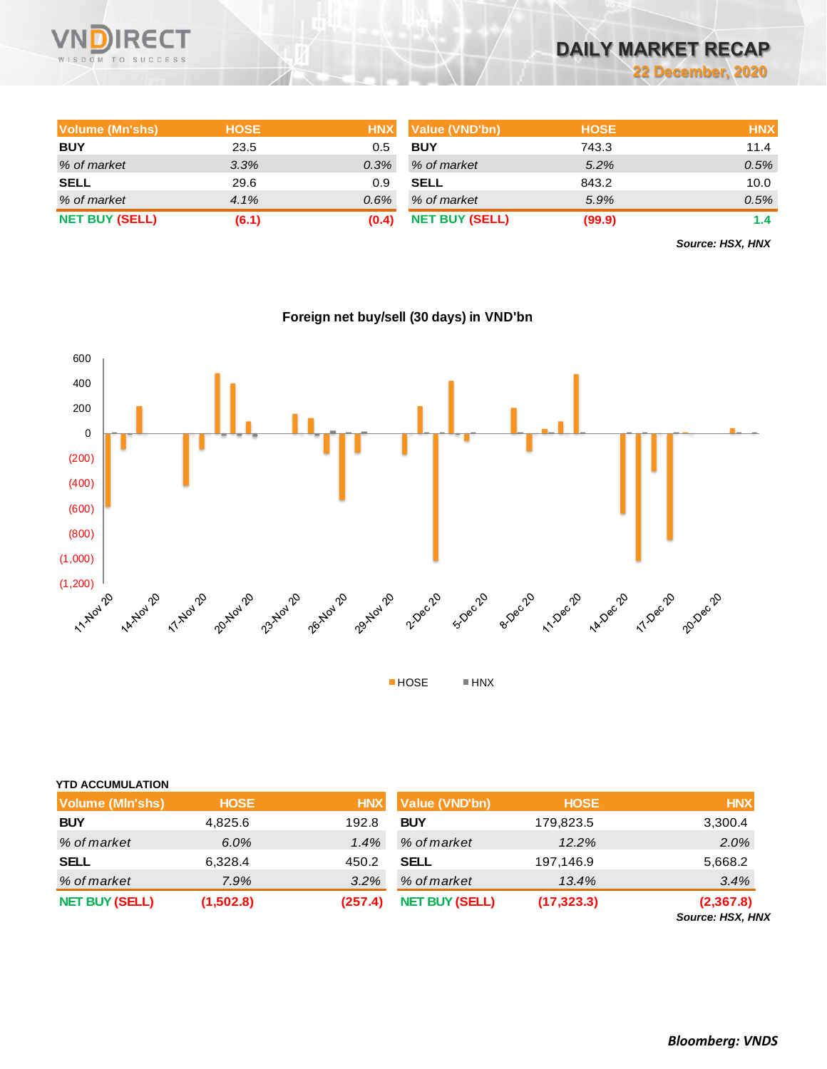

# **DAILY MARKET RECAP**

**22 December, 2020**

| Volume (Mn'shs)       | <b>HOSE</b> | <b>HNX</b> | Value (VND'bn)        | <b>HOSE</b> | <b>HNX</b> |
|-----------------------|-------------|------------|-----------------------|-------------|------------|
| <b>BUY</b>            | 23.5        | 0.5        | <b>BUY</b>            | 743.3       | 11.4       |
| % of market           | 3.3%        | 0.3%       | % of market           | 5.2%        | 0.5%       |
| <b>SELL</b>           | 29.6        | 0.9        | <b>SELL</b>           | 843.2       | 10.0       |
| % of market           | 4.1%        | $0.6\%$    | % of market           | 5.9%        | 0.5%       |
| <b>NET BUY (SELL)</b> | (6.1)       | (0.4)      | <b>NET BUY (SELL)</b> | (99.9)      | 1.4        |

*Source: HSX, HNX*



| Foreign net buy/sell (30 days) in VND'bn |  |  |  |
|------------------------------------------|--|--|--|
|                                          |  |  |  |

| <b>YTD ACCUMULATION</b> |             |            |                       |             |                               |
|-------------------------|-------------|------------|-----------------------|-------------|-------------------------------|
| <b>Volume (MIn'shs)</b> | <b>HOSE</b> | <b>HNX</b> | <b>Value (VND'bn)</b> | <b>HOSE</b> | <b>HNX</b>                    |
| <b>BUY</b>              | 4,825.6     | 192.8      | <b>BUY</b>            | 179,823.5   | 3,300.4                       |
| % of market             | 6.0%        | 1.4%       | % of market           | 12.2%       | 2.0%                          |
| <b>SELL</b>             | 6,328.4     | 450.2      | <b>SELL</b>           | 197,146.9   | 5,668.2                       |
| % of market             | 7.9%        | 3.2%       | % of market           | 13.4%       | 3.4%                          |
| <b>NET BUY (SELL)</b>   | (1,502.8)   | (257.4)    | <b>NET BUY (SELL)</b> | (17, 323.3) | (2,367.8)<br>Source: HSX, HNX |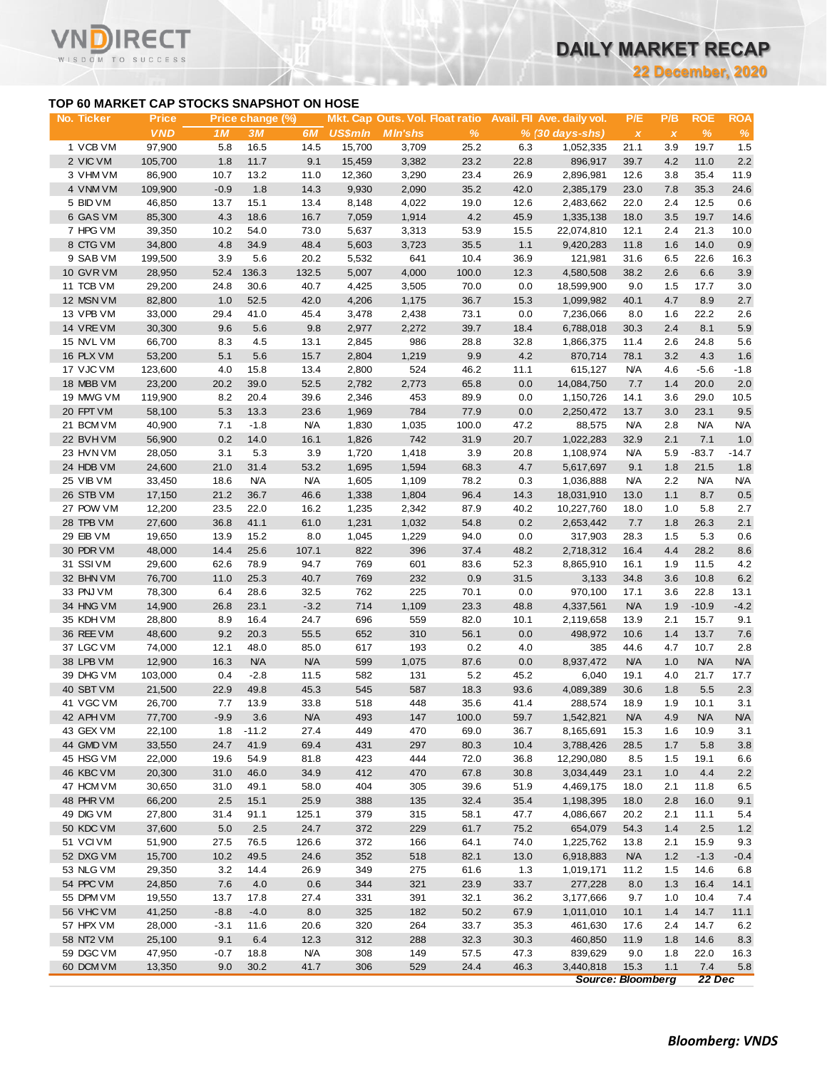**22 December, 2020**

## **TOP 60 MARKET CAP STOCKS SNAPSHOT ON HOSE**

T.

WISDOM TO SUCCESS

|                        |                                                           |                 |                  |               |                |                                 |              |              |                            |                    | 22 December, 202 |               |               |
|------------------------|-----------------------------------------------------------|-----------------|------------------|---------------|----------------|---------------------------------|--------------|--------------|----------------------------|--------------------|------------------|---------------|---------------|
| No. Ticker             | TOP 60 MARKET CAP STOCKS SNAPSHOT ON HOSE<br><b>Price</b> |                 | Price change (%) |               |                | Mkt. Cap Outs. Vol. Float ratio |              |              | Avail. Fil Ave. daily vol. | P/E                | P/B              | <b>ROE</b>    | <b>ROA</b>    |
|                        | <b>VND</b>                                                | 1 M             | 3M               | 6M            | US\$mln        | <b>MIn'shs</b>                  | $\%$         |              | $% (30 \, days - shs)$     | $\pmb{\chi}$       | $\pmb{\chi}$     | $\%$          | %             |
| 1 VCB VM               | 97,900                                                    | 5.8             | 16.5             | 14.5          | 15,700         | 3,709                           | 25.2         | 6.3          | 1,052,335                  | 21.1               | 3.9              | 19.7          | 1.5           |
| 2 VIC VM               | 105,700                                                   | 1.8             | 11.7             | 9.1           | 15,459         | 3,382                           | 23.2         | 22.8         | 896,917                    | 39.7               | 4.2              | 11.0          | 2.2           |
| 3 VHM VM               | 86,900                                                    | 10.7            | 13.2             | 11.0          | 12,360         | 3,290                           | 23.4         | 26.9         | 2,896,981                  | 12.6               | 3.8              | 35.4          | 11.9          |
| 4 VNM VM               | 109,900                                                   | $-0.9$          | 1.8              | 14.3          | 9,930          | 2,090                           | 35.2         | 42.0         | 2,385,179<br>2,483,662     | 23.0<br>22.0       | 7.8<br>2.4       | 35.3          | 24.6          |
| 5 BID VM<br>6 GAS VM   | 46,850<br>85,300                                          | 13.7<br>4.3     | 15.1<br>18.6     | 13.4<br>16.7  | 8,148<br>7,059 | 4,022<br>1,914                  | 19.0<br>4.2  | 12.6<br>45.9 | 1,335,138                  | 18.0               | 3.5              | 12.5<br>19.7  | 0.6<br>14.6   |
| 7 HPG VM               | 39,350                                                    | 10.2            | 54.0             | 73.0          | 5,637          | 3,313                           | 53.9         | 15.5         | 22,074,810                 | 12.1               | 2.4              | 21.3          | 10.0          |
| 8 CTG VM               | 34,800                                                    | 4.8             | 34.9             | 48.4          | 5,603          | 3,723                           | 35.5         | 1.1          | 9,420,283                  | 11.8               | 1.6              | 14.0          | 0.9           |
| 9 SAB VM               | 199,500                                                   | 3.9             | 5.6              | 20.2          | 5,532          | 641                             | 10.4         | 36.9         | 121,981                    | 31.6               | 6.5              | 22.6          | 16.3          |
| 10 GVR VM              | 28,950                                                    | 52.4            | 136.3            | 132.5         | 5,007          | 4,000                           | 100.0        | 12.3         | 4,580,508                  | 38.2               | 2.6              | 6.6           | 3.9           |
| 11 TCB VM              | 29,200                                                    | 24.8            | 30.6             | 40.7          | 4,425          | 3,505                           | 70.0         | 0.0          | 18,599,900                 | 9.0                | 1.5              | 17.7          | 3.0           |
| 12 MSN VM              | 82,800                                                    | 1.0             | 52.5             | 42.0          | 4,206          | 1,175                           | 36.7         | 15.3         | 1,099,982                  | 40.1               | 4.7              | 8.9           | 2.7           |
| 13 VPB VM              | 33,000                                                    | 29.4            | 41.0             | 45.4          | 3,478          | 2,438                           | 73.1         | 0.0          | 7,236,066                  | 8.0                | 1.6              | 22.2          | 2.6           |
| 14 VRE VM              | 30,300                                                    | 9.6             | 5.6              | 9.8           | 2,977          | 2,272                           | 39.7         | 18.4         | 6,788,018                  | 30.3               | 2.4              | 8.1           | 5.9           |
| 15 NVL VM              | 66,700                                                    | 8.3             | 4.5              | 13.1          | 2,845          | 986                             | 28.8         | 32.8         | 1,866,375                  | 11.4               | 2.6              | 24.8          | 5.6           |
| 16 PLX VM<br>17 VJC VM | 53,200<br>123,600                                         | 5.1<br>4.0      | 5.6<br>15.8      | 15.7<br>13.4  | 2,804<br>2,800 | 1,219<br>524                    | 9.9<br>46.2  | 4.2<br>11.1  | 870,714<br>615,127         | 78.1<br><b>N/A</b> | 3.2<br>4.6       | 4.3<br>$-5.6$ | 1.6<br>$-1.8$ |
| 18 MBB VM              | 23,200                                                    | 20.2            | 39.0             | 52.5          | 2,782          | 2,773                           | 65.8         | 0.0          | 14,084,750                 | 7.7                | 1.4              | 20.0          | 2.0           |
| 19 MWG VM              | 119,900                                                   | 8.2             | 20.4             | 39.6          | 2,346          | 453                             | 89.9         | 0.0          | 1,150,726                  | 14.1               | 3.6              | 29.0          | 10.5          |
| 20 FPT VM              | 58,100                                                    | 5.3             | 13.3             | 23.6          | 1,969          | 784                             | 77.9         | 0.0          | 2,250,472                  | 13.7               | 3.0              | 23.1          | 9.5           |
| 21 BCM VM              | 40,900                                                    | 7.1             | $-1.8$           | <b>N/A</b>    | 1,830          | 1,035                           | 100.0        | 47.2         | 88,575                     | <b>N/A</b>         | 2.8              | <b>N/A</b>    | <b>N/A</b>    |
| 22 BVHVM               | 56,900                                                    | 0.2             | 14.0             | 16.1          | 1,826          | 742                             | 31.9         | 20.7         | 1,022,283                  | 32.9               | 2.1              | 7.1           | 1.0           |
| 23 HVN VM              | 28,050                                                    | 3.1             | 5.3              | 3.9           | 1,720          | 1,418                           | 3.9          | 20.8         | 1,108,974                  | <b>N/A</b>         | 5.9              | $-83.7$       | $-14.7$       |
| 24 HDB VM              | 24,600                                                    | 21.0            | 31.4             | 53.2          | 1,695          | 1,594                           | 68.3         | 4.7          | 5,617,697                  | 9.1                | 1.8              | 21.5          | 1.8           |
| 25 VIB VM              | 33,450                                                    | 18.6            | <b>N/A</b>       | <b>N/A</b>    | 1,605          | 1,109                           | 78.2         | 0.3          | 1,036,888                  | <b>N/A</b>         | 2.2              | <b>N/A</b>    | <b>N/A</b>    |
| 26 STB VM              | 17,150                                                    | 21.2            | 36.7             | 46.6          | 1,338          | 1,804                           | 96.4         | 14.3         | 18,031,910                 | 13.0               | 1.1              | 8.7           | 0.5           |
| 27 POW VM<br>28 TPB VM | 12,200<br>27,600                                          | 23.5<br>36.8    | 22.0<br>41.1     | 16.2<br>61.0  | 1,235<br>1,231 | 2,342<br>1,032                  | 87.9<br>54.8 | 40.2<br>0.2  | 10,227,760<br>2,653,442    | 18.0<br>7.7        | 1.0<br>1.8       | 5.8<br>26.3   | 2.7<br>2.1    |
| 29 EIB VM              | 19,650                                                    | 13.9            | 15.2             | 8.0           | 1,045          | 1,229                           | 94.0         | 0.0          | 317,903                    | 28.3               | 1.5              | 5.3           | 0.6           |
| 30 PDR VM              | 48,000                                                    | 14.4            | 25.6             | 107.1         | 822            | 396                             | 37.4         | 48.2         | 2,718,312                  | 16.4               | 4.4              | 28.2          | 8.6           |
| 31 SSIVM               | 29,600                                                    | 62.6            | 78.9             | 94.7          | 769            | 601                             | 83.6         | 52.3         | 8,865,910                  | 16.1               | 1.9              | 11.5          | 4.2           |
| 32 BHN VM              | 76,700                                                    | 11.0            | 25.3             | 40.7          | 769            | 232                             | 0.9          | 31.5         | 3,133                      | 34.8               | 3.6              | 10.8          | 6.2           |
| 33 PNJ VM              | 78,300                                                    | 6.4             | 28.6             | 32.5          | 762            | 225                             | 70.1         | 0.0          | 970,100                    | 17.1               | 3.6              | 22.8          | 13.1          |
| 34 HNG VM              | 14,900                                                    | 26.8            | 23.1             | $-3.2$        | 714            | 1,109                           | 23.3         | 48.8         | 4,337,561                  | <b>N/A</b>         | 1.9              | $-10.9$       | $-4.2$        |
| 35 KDH VM              | 28,800                                                    | 8.9             | 16.4             | 24.7          | 696            | 559                             | 82.0         | 10.1         | 2,119,658                  | 13.9               | 2.1              | 15.7          | 9.1           |
| 36 REE VM              | 48,600                                                    | 9.2             | 20.3             | 55.5          | 652            | 310                             | 56.1         | 0.0          | 498,972                    | 10.6               | 1.4              | 13.7          | 7.6           |
| 37 LGC VM              | 74,000                                                    | 12.1            | 48.0             | 85.0          | 617            | 193                             | 0.2          | 4.0          | 385                        | 44.6               | 4.7              | 10.7          | 2.8           |
| 38 LPB VM              | 12,900                                                    | 16.3            | <b>N/A</b>       | <b>N/A</b>    | 599            | 1,075                           | 87.6         | 0.0          | 8,937,472                  | <b>N/A</b>         | 1.0              | <b>N/A</b>    | <b>N/A</b>    |
| 39 DHG VM<br>40 SBT VM | 103,000<br>21,500                                         | 0.4<br>22.9     | $-2.8$<br>49.8   | 11.5<br>45.3  | 582<br>545     | 131<br>587                      | 5.2<br>18.3  | 45.2<br>93.6 | 6,040<br>4,089,389         | 19.1<br>30.6       | 4.0<br>1.8       | 21.7<br>5.5   | 17.7<br>2.3   |
| 41 VGC VM              | 26,700                                                    | 7.7             | 13.9             | 33.8          | 518            | 448                             | 35.6         | 41.4         | 288,574                    | 18.9               | 1.9              | 10.1          | 3.1           |
| 42 APH VM              | 77,700                                                    | $-9.9$          | 3.6              | <b>N/A</b>    | 493            | 147                             | 100.0        | 59.7         | 1,542,821                  | <b>N/A</b>         | 4.9              | <b>N/A</b>    | <b>N/A</b>    |
| 43 GEX VM              | 22,100                                                    | 1.8             | $-11.2$          | 27.4          | 449            | 470                             | 69.0         | 36.7         | 8,165,691                  | 15.3               | 1.6              | 10.9          | 3.1           |
| 44 GMD VM              | 33,550                                                    | 24.7            | 41.9             | 69.4          | 431            | 297                             | 80.3         | 10.4         | 3,788,426                  | 28.5               | 1.7              | 5.8           | 3.8           |
| 45 HSG VM              | 22,000                                                    | 19.6            | 54.9             | 81.8          | 423            | 444                             | 72.0         | 36.8         | 12,290,080                 | 8.5                | 1.5              | 19.1          | 6.6           |
| 46 KBC VM              | 20,300                                                    | 31.0            | 46.0             | 34.9          | 412            | 470                             | 67.8         | 30.8         | 3,034,449                  | 23.1               | 1.0              | 4.4           | $2.2\,$       |
| 47 HCM VM              | 30,650                                                    | 31.0            | 49.1             | 58.0          | 404            | 305                             | 39.6         | 51.9         | 4,469,175                  | 18.0               | 2.1              | 11.8          | 6.5           |
| 48 PHR VM              | 66,200                                                    | 2.5             | 15.1             | 25.9          | 388            | 135                             | 32.4         | 35.4         | 1,198,395                  | 18.0               | 2.8              | 16.0          | 9.1           |
| 49 DIG VM              | 27,800                                                    | 31.4            | 91.1             | 125.1         | 379            | 315                             | 58.1         | 47.7         | 4,086,667                  | 20.2               | 2.1              | 11.1          | 5.4           |
| 50 KDC VM<br>51 VCIVM  | 37,600<br>51,900                                          | $5.0\,$<br>27.5 | 2.5<br>76.5      | 24.7<br>126.6 | 372<br>372     | 229<br>166                      | 61.7<br>64.1 | 75.2<br>74.0 | 654,079<br>1,225,762       | 54.3<br>13.8       | 1.4<br>2.1       | 2.5<br>15.9   | $1.2$<br>9.3  |
| 52 DXG VM              | 15,700                                                    | 10.2            | 49.5             | 24.6          | 352            | 518                             | 82.1         | 13.0         | 6,918,883                  | <b>N/A</b>         | 1.2              | $-1.3$        | $-0.4$        |
| 53 NLG VM              | 29,350                                                    | 3.2             | 14.4             | 26.9          | 349            | 275                             | 61.6         | 1.3          | 1,019,171                  | 11.2               | 1.5              | 14.6          | 6.8           |
| 54 PPC VM              | 24,850                                                    | 7.6             | 4.0              | 0.6           | 344            | 321                             | 23.9         | 33.7         | 277,228                    | 8.0                | 1.3              | 16.4          | 14.1          |
| 55 DPM VM              | 19,550                                                    | 13.7            | 17.8             | 27.4          | 331            | 391                             | 32.1         | 36.2         | 3,177,666                  | 9.7                | 1.0              | 10.4          | 7.4           |
| 56 VHC VM              | 41,250                                                    | $-8.8$          | $-4.0$           | 8.0           | 325            | 182                             | 50.2         | 67.9         | 1,011,010                  | 10.1               | 1.4              | 14.7          | 11.1          |
| 57 HPX VM              | 28,000                                                    | $-3.1$          | 11.6             | 20.6          | 320            | 264                             | 33.7         | 35.3         | 461,630                    | 17.6               | 2.4              | 14.7          | 6.2           |
| 58 NT2 VM              | 25,100                                                    | 9.1             | 6.4              | 12.3          | 312            | 288                             | 32.3         | 30.3         | 460,850                    | 11.9               | 1.8              | 14.6          | 8.3           |
| 59 DGC VM              | 47,950                                                    | $-0.7$          | 18.8             | <b>N/A</b>    | 308            | 149                             | 57.5         | 47.3         | 839,629                    | 9.0                | 1.8              | 22.0          | 16.3          |
| 60 DCM VM              | 13,350                                                    | 9.0             | 30.2             | 41.7          | 306            | 529                             | 24.4         | 46.3         | 3,440,818                  | 15.3               | 1.1              | 7.4           | 5.8           |